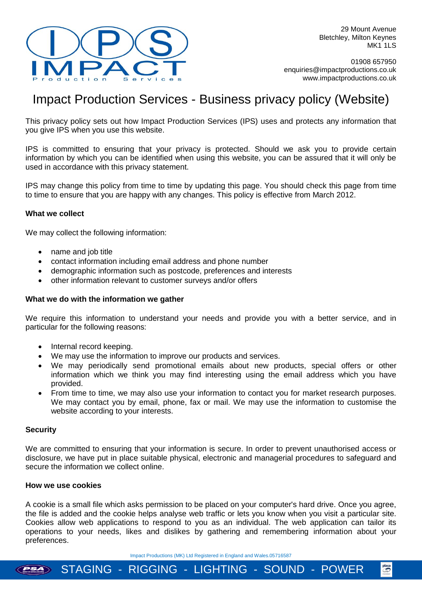

 $\overline{\mathbf{p}}$ 

01908 657950 enquiries@impactproductions.co.uk www.impactproductions.co.uk

# Impact Production Services - Business privacy policy (Website)

This privacy policy sets out how Impact Production Services (IPS) uses and protects any information that you give IPS when you use this website.

IPS is committed to ensuring that your privacy is protected. Should we ask you to provide certain information by which you can be identified when using this website, you can be assured that it will only be used in accordance with this privacy statement.

IPS may change this policy from time to time by updating this page. You should check this page from time to time to ensure that you are happy with any changes. This policy is effective from March 2012.

# **What we collect**

We may collect the following information:

- name and job title
- contact information including email address and phone number
- demographic information such as postcode, preferences and interests
- other information relevant to customer surveys and/or offers

#### **What we do with the information we gather**

We require this information to understand your needs and provide you with a better service, and in particular for the following reasons:

- Internal record keeping.
- We may use the information to improve our products and services.
- We may periodically send promotional emails about new products, special offers or other information which we think you may find interesting using the email address which you have provided.
- From time to time, we may also use your information to contact you for market research purposes. We may contact you by email, phone, fax or mail. We may use the information to customise the website according to your interests.

#### **Security**

We are committed to ensuring that your information is secure. In order to prevent unauthorised access or disclosure, we have put in place suitable physical, electronic and managerial procedures to safeguard and secure the information we collect online.

#### **How we use cookies**

A cookie is a small file which asks permission to be placed on your computer's hard drive. Once you agree, the file is added and the cookie helps analyse web traffic or lets you know when you visit a particular site. Cookies allow web applications to respond to you as an individual. The web application can tailor its operations to your needs, likes and dislikes by gathering and remembering information about your preferences.

Impact Productions (MK) Ltd Registered in England and Wales.05716587 STAGING - RIGGING - LIGHTING - SOUND - POWER